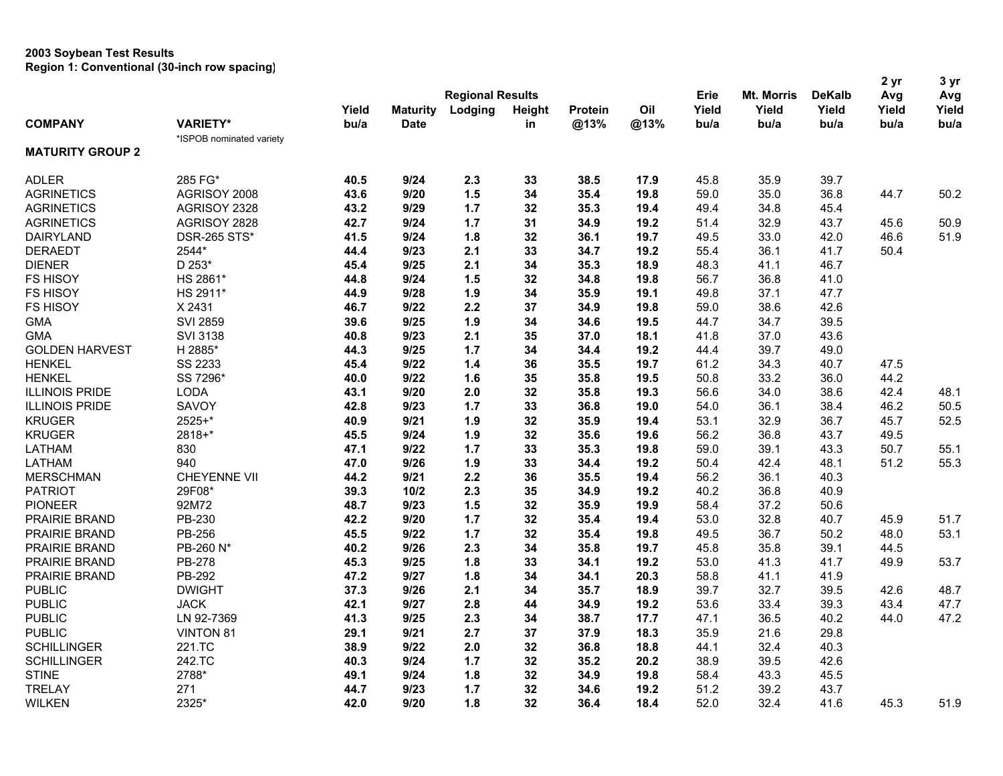## **2003 Soybean Test Results Region 1: Conventional (30-inch row spacing)**

|                         |                          |       |                 |                         |        |         |      | Erie  | Mt. Morris | <b>DeKalb</b> | 2 yr<br>Avg | 3 yr<br>Avg |
|-------------------------|--------------------------|-------|-----------------|-------------------------|--------|---------|------|-------|------------|---------------|-------------|-------------|
|                         |                          |       |                 | <b>Regional Results</b> |        |         |      |       |            |               |             |             |
|                         |                          | Yield | <b>Maturity</b> | Lodging                 | Height | Protein | Oil  | Yield | Yield      | Yield         | Yield       | Yield       |
| <b>COMPANY</b>          | <b>VARIETY*</b>          | bu/a  | <b>Date</b>     |                         | in     | @13%    | @13% | bu/a  | bu/a       | bu/a          | bu/a        | bu/a        |
| <b>MATURITY GROUP 2</b> | *ISPOB nominated variety |       |                 |                         |        |         |      |       |            |               |             |             |
|                         |                          |       |                 |                         |        |         |      |       |            |               |             |             |
| <b>ADLER</b>            | 285 FG*                  | 40.5  | 9/24            | 2.3                     | 33     | 38.5    | 17.9 | 45.8  | 35.9       | 39.7          |             |             |
| <b>AGRINETICS</b>       | AGRISOY 2008             | 43.6  | 9/20            | 1.5                     | 34     | 35.4    | 19.8 | 59.0  | 35.0       | 36.8          | 44.7        | 50.2        |
| <b>AGRINETICS</b>       | AGRISOY 2328             | 43.2  | 9/29            | 1.7                     | 32     | 35.3    | 19.4 | 49.4  | 34.8       | 45.4          |             |             |
| <b>AGRINETICS</b>       | AGRISOY 2828             | 42.7  | 9/24            | 1.7                     | 31     | 34.9    | 19.2 | 51.4  | 32.9       | 43.7          | 45.6        | 50.9        |
| <b>DAIRYLAND</b>        | <b>DSR-265 STS*</b>      | 41.5  | 9/24            | 1.8                     | 32     | 36.1    | 19.7 | 49.5  | 33.0       | 42.0          | 46.6        | 51.9        |
| <b>DERAEDT</b>          | 2544*                    | 44.4  | 9/23            | 2.1                     | 33     | 34.7    | 19.2 | 55.4  | 36.1       | 41.7          | 50.4        |             |
| <b>DIENER</b>           | D 253*                   | 45.4  | 9/25            | 2.1                     | 34     | 35.3    | 18.9 | 48.3  | 41.1       | 46.7          |             |             |
| <b>FS HISOY</b>         | HS 2861*                 | 44.8  | 9/24            | 1.5                     | 32     | 34.8    | 19.8 | 56.7  | 36.8       | 41.0          |             |             |
| <b>FS HISOY</b>         | HS 2911*                 | 44.9  | 9/28            | 1.9                     | 34     | 35.9    | 19.1 | 49.8  | 37.1       | 47.7          |             |             |
| <b>FS HISOY</b>         | X 2431                   | 46.7  | 9/22            | 2.2                     | 37     | 34.9    | 19.8 | 59.0  | 38.6       | 42.6          |             |             |
| <b>GMA</b>              | <b>SVI 2859</b>          | 39.6  | 9/25            | 1.9                     | 34     | 34.6    | 19.5 | 44.7  | 34.7       | 39.5          |             |             |
| <b>GMA</b>              | <b>SVI 3138</b>          | 40.8  | 9/23            | 2.1                     | 35     | 37.0    | 18.1 | 41.8  | 37.0       | 43.6          |             |             |
| <b>GOLDEN HARVEST</b>   | H 2885*                  | 44.3  | 9/25            | 1.7                     | 34     | 34.4    | 19.2 | 44.4  | 39.7       | 49.0          |             |             |
| <b>HENKEL</b>           | SS 2233                  | 45.4  | 9/22            | 1.4                     | 36     | 35.5    | 19.7 | 61.2  | 34.3       | 40.7          | 47.5        |             |
| <b>HENKEL</b>           | SS 7296*                 | 40.0  | 9/22            | 1.6                     | 35     | 35.8    | 19.5 | 50.8  | 33.2       | 36.0          | 44.2        |             |
| <b>ILLINOIS PRIDE</b>   | <b>LODA</b>              | 43.1  | 9/20            | 2.0                     | 32     | 35.8    | 19.3 | 56.6  | 34.0       | 38.6          | 42.4        | 48.1        |
| <b>ILLINOIS PRIDE</b>   | SAVOY                    | 42.8  | 9/23            | 1.7                     | 33     | 36.8    | 19.0 | 54.0  | 36.1       | 38.4          | 46.2        | 50.5        |
| <b>KRUGER</b>           | 2525+*                   | 40.9  | 9/21            | 1.9                     | 32     | 35.9    | 19.4 | 53.1  | 32.9       | 36.7          | 45.7        | 52.5        |
| <b>KRUGER</b>           | 2818+*                   | 45.5  | 9/24            | 1.9                     | 32     | 35.6    | 19.6 | 56.2  | 36.8       | 43.7          | 49.5        |             |
| LATHAM                  | 830                      | 47.1  | 9/22            | 1.7                     | 33     | 35.3    | 19.8 | 59.0  | 39.1       | 43.3          | 50.7        | 55.1        |
| LATHAM                  | 940                      | 47.0  | 9/26            | 1.9                     | 33     | 34.4    | 19.2 | 50.4  | 42.4       | 48.1          | 51.2        | 55.3        |
| <b>MERSCHMAN</b>        | <b>CHEYENNE VII</b>      | 44.2  | 9/21            | 2.2                     | 36     | 35.5    | 19.4 | 56.2  | 36.1       | 40.3          |             |             |
| <b>PATRIOT</b>          | 29F08*                   | 39.3  | $10/2$          | 2.3                     | 35     | 34.9    | 19.2 | 40.2  | 36.8       | 40.9          |             |             |
| <b>PIONEER</b>          | 92M72                    | 48.7  | 9/23            | 1.5                     | 32     | 35.9    | 19.9 | 58.4  | 37.2       | 50.6          |             |             |
| PRAIRIE BRAND           | PB-230                   | 42.2  | 9/20            | 1.7                     | 32     | 35.4    | 19.4 | 53.0  | 32.8       | 40.7          | 45.9        | 51.7        |
| PRAIRIE BRAND           | PB-256                   | 45.5  | 9/22            | 1.7                     | 32     | 35.4    | 19.8 | 49.5  | 36.7       | 50.2          | 48.0        | 53.1        |
| PRAIRIE BRAND           | PB-260 N*                | 40.2  | 9/26            | 2.3                     | 34     | 35.8    | 19.7 | 45.8  | 35.8       | 39.1          | 44.5        |             |
| PRAIRIE BRAND           | PB-278                   | 45.3  | 9/25            | 1.8                     | 33     | 34.1    | 19.2 | 53.0  | 41.3       | 41.7          | 49.9        | 53.7        |
| PRAIRIE BRAND           | PB-292                   | 47.2  | 9/27            | 1.8                     | 34     | 34.1    | 20.3 | 58.8  | 41.1       | 41.9          |             |             |
| <b>PUBLIC</b>           | <b>DWIGHT</b>            | 37.3  | 9/26            | 2.1                     | 34     | 35.7    | 18.9 | 39.7  | 32.7       | 39.5          | 42.6        | 48.7        |
| <b>PUBLIC</b>           | <b>JACK</b>              | 42.1  | 9/27            | 2.8                     | 44     | 34.9    | 19.2 | 53.6  | 33.4       | 39.3          | 43.4        | 47.7        |
| <b>PUBLIC</b>           | LN 92-7369               | 41.3  | 9/25            | 2.3                     | 34     | 38.7    | 17.7 | 47.1  | 36.5       | 40.2          | 44.0        | 47.2        |
| <b>PUBLIC</b>           | <b>VINTON 81</b>         | 29.1  | 9/21            | 2.7                     | 37     | 37.9    | 18.3 | 35.9  | 21.6       | 29.8          |             |             |
| <b>SCHILLINGER</b>      | 221.TC                   |       | 9/22            | 2.0                     |        | 36.8    | 18.8 |       |            |               |             |             |
|                         |                          | 38.9  |                 |                         | 32     |         |      | 44.1  | 32.4       | 40.3          |             |             |
| <b>SCHILLINGER</b>      | 242.TC                   | 40.3  | 9/24            | 1.7                     | 32     | 35.2    | 20.2 | 38.9  | 39.5       | 42.6          |             |             |
| <b>STINE</b>            | 2788*                    | 49.1  | 9/24            | 1.8                     | 32     | 34.9    | 19.8 | 58.4  | 43.3       | 45.5          |             |             |
| <b>TRELAY</b>           | 271                      | 44.7  | 9/23            | 1.7                     | 32     | 34.6    | 19.2 | 51.2  | 39.2       | 43.7          |             |             |
| <b>WILKEN</b>           | 2325*                    | 42.0  | 9/20            | 1.8                     | 32     | 36.4    | 18.4 | 52.0  | 32.4       | 41.6          | 45.3        | 51.9        |